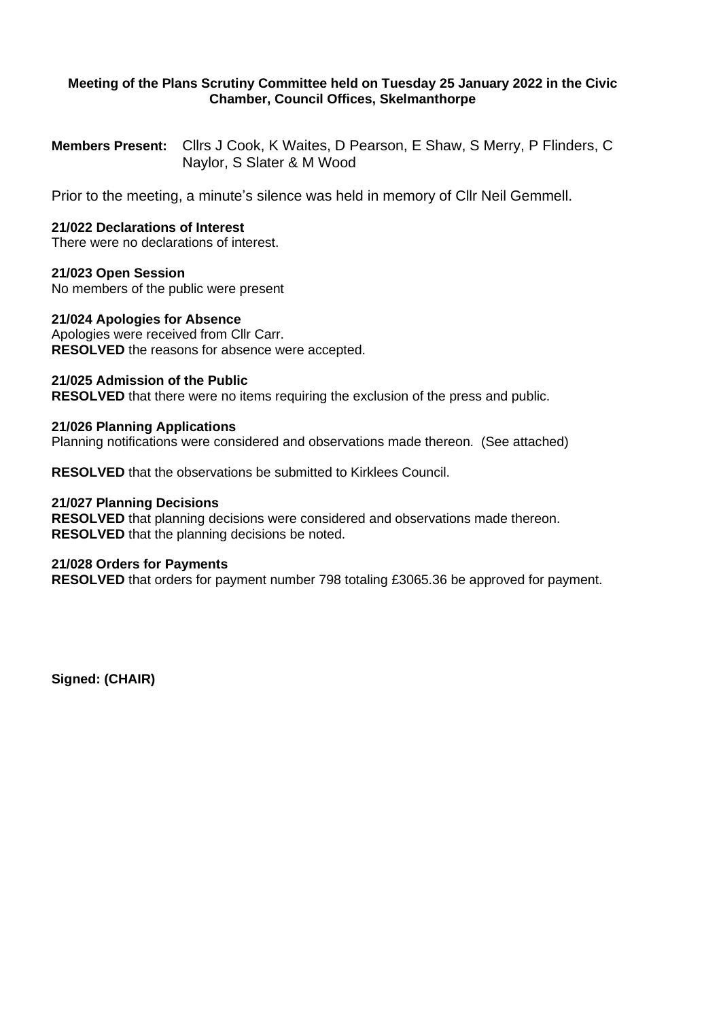# **Meeting of the Plans Scrutiny Committee held on Tuesday 25 January 2022 in the Civic Chamber, Council Offices, Skelmanthorpe**

**Members Present:** Cllrs J Cook, K Waites, D Pearson, E Shaw, S Merry, P Flinders, C Naylor, S Slater & M Wood

Prior to the meeting, a minute's silence was held in memory of Cllr Neil Gemmell.

# **21/022 Declarations of Interest**

There were no declarations of interest.

### **21/023 Open Session**

No members of the public were present

### **21/024 Apologies for Absence**

Apologies were received from Cllr Carr. **RESOLVED** the reasons for absence were accepted.

### **21/025 Admission of the Public**

**RESOLVED** that there were no items requiring the exclusion of the press and public.

### **21/026 Planning Applications**

Planning notifications were considered and observations made thereon. (See attached)

**RESOLVED** that the observations be submitted to Kirklees Council.

#### **21/027 Planning Decisions**

**RESOLVED** that planning decisions were considered and observations made thereon. **RESOLVED** that the planning decisions be noted.

### **21/028 Orders for Payments**

**RESOLVED** that orders for payment number 798 totaling £3065.36 be approved for payment.

**Signed: (CHAIR)**